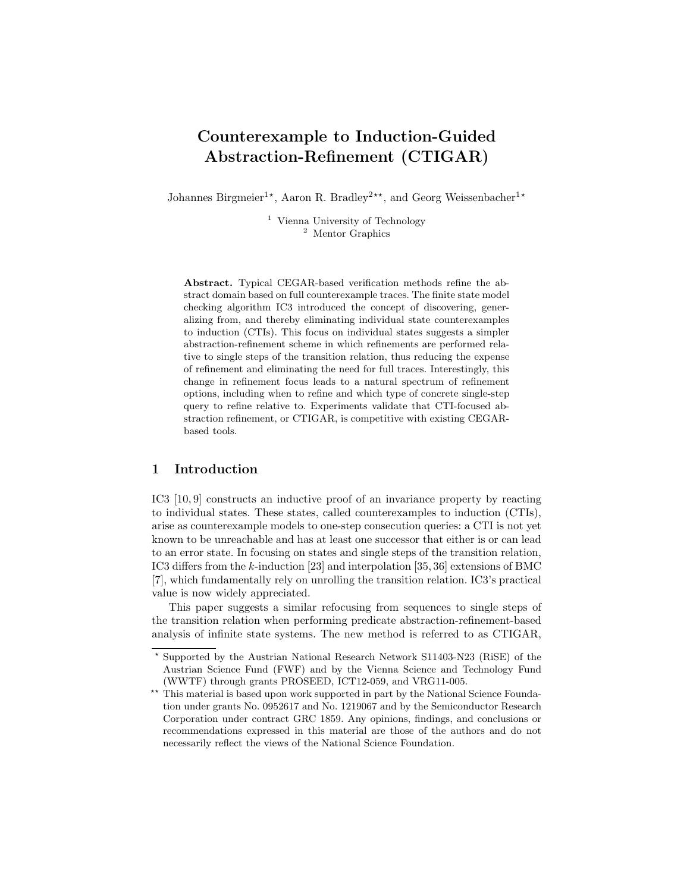# Counterexample to Induction-Guided Abstraction-Refinement (CTIGAR)

Johannes Birgmeier<sup>1\*</sup>, Aaron R. Bradley<sup>2\*\*</sup>, and Georg Weissenbacher<sup>1\*</sup>

<sup>1</sup> Vienna University of Technology <sup>2</sup> Mentor Graphics

Abstract. Typical CEGAR-based verification methods refine the abstract domain based on full counterexample traces. The finite state model checking algorithm IC3 introduced the concept of discovering, generalizing from, and thereby eliminating individual state counterexamples to induction (CTIs). This focus on individual states suggests a simpler abstraction-refinement scheme in which refinements are performed relative to single steps of the transition relation, thus reducing the expense of refinement and eliminating the need for full traces. Interestingly, this change in refinement focus leads to a natural spectrum of refinement options, including when to refine and which type of concrete single-step query to refine relative to. Experiments validate that CTI-focused abstraction refinement, or CTIGAR, is competitive with existing CEGARbased tools.

# 1 Introduction

IC3 [10, 9] constructs an inductive proof of an invariance property by reacting to individual states. These states, called counterexamples to induction (CTIs), arise as counterexample models to one-step consecution queries: a CTI is not yet known to be unreachable and has at least one successor that either is or can lead to an error state. In focusing on states and single steps of the transition relation, IC3 differs from the k-induction [23] and interpolation [35, 36] extensions of BMC [7], which fundamentally rely on unrolling the transition relation. IC3's practical value is now widely appreciated.

This paper suggests a similar refocusing from sequences to single steps of the transition relation when performing predicate abstraction-refinement-based analysis of infinite state systems. The new method is referred to as CTIGAR,

<sup>?</sup> Supported by the Austrian National Research Network S11403-N23 (RiSE) of the Austrian Science Fund (FWF) and by the Vienna Science and Technology Fund (WWTF) through grants PROSEED, ICT12-059, and VRG11-005.

<sup>\*\*</sup> This material is based upon work supported in part by the National Science Foundation under grants No. 0952617 and No. 1219067 and by the Semiconductor Research Corporation under contract GRC 1859. Any opinions, findings, and conclusions or recommendations expressed in this material are those of the authors and do not necessarily reflect the views of the National Science Foundation.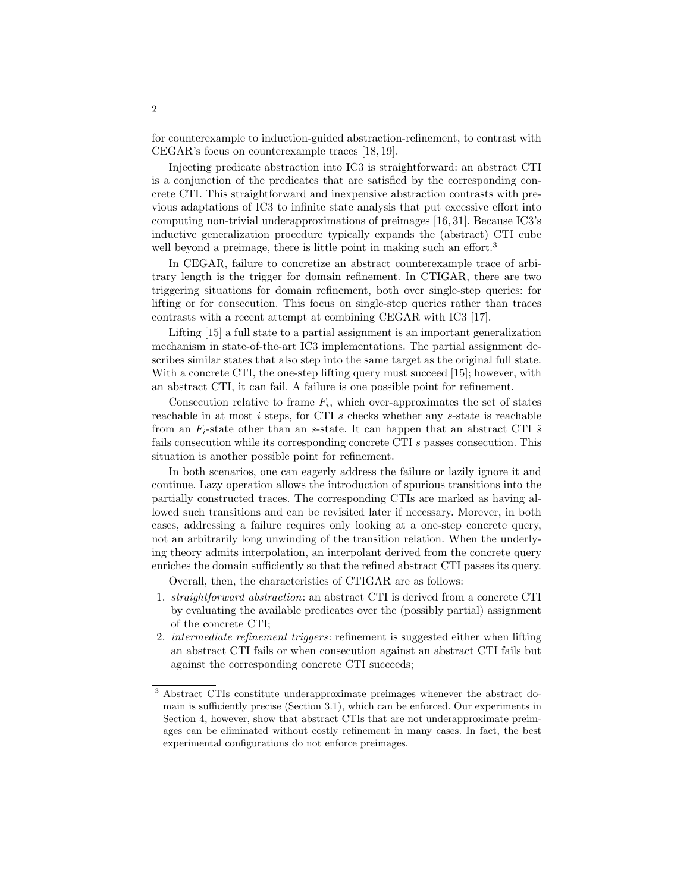for counterexample to induction-guided abstraction-refinement, to contrast with CEGAR's focus on counterexample traces [18, 19].

Injecting predicate abstraction into IC3 is straightforward: an abstract CTI is a conjunction of the predicates that are satisfied by the corresponding concrete CTI. This straightforward and inexpensive abstraction contrasts with previous adaptations of IC3 to infinite state analysis that put excessive effort into computing non-trivial underapproximations of preimages [16, 31]. Because IC3's inductive generalization procedure typically expands the (abstract) CTI cube well beyond a preimage, there is little point in making such an effort.<sup>3</sup>

In CEGAR, failure to concretize an abstract counterexample trace of arbitrary length is the trigger for domain refinement. In CTIGAR, there are two triggering situations for domain refinement, both over single-step queries: for lifting or for consecution. This focus on single-step queries rather than traces contrasts with a recent attempt at combining CEGAR with IC3 [17].

Lifting [15] a full state to a partial assignment is an important generalization mechanism in state-of-the-art IC3 implementations. The partial assignment describes similar states that also step into the same target as the original full state. With a concrete CTI, the one-step lifting query must succeed [15]; however, with an abstract CTI, it can fail. A failure is one possible point for refinement.

Consecution relative to frame  $F_i$ , which over-approximates the set of states reachable in at most  $i$  steps, for CTI  $s$  checks whether any  $s$ -state is reachable from an  $F_i$ -state other than an s-state. It can happen that an abstract CTI  $\hat{s}$ fails consecution while its corresponding concrete CTI s passes consecution. This situation is another possible point for refinement.

In both scenarios, one can eagerly address the failure or lazily ignore it and continue. Lazy operation allows the introduction of spurious transitions into the partially constructed traces. The corresponding CTIs are marked as having allowed such transitions and can be revisited later if necessary. Morever, in both cases, addressing a failure requires only looking at a one-step concrete query, not an arbitrarily long unwinding of the transition relation. When the underlying theory admits interpolation, an interpolant derived from the concrete query enriches the domain sufficiently so that the refined abstract CTI passes its query.

Overall, then, the characteristics of CTIGAR are as follows:

- 1. straightforward abstraction: an abstract CTI is derived from a concrete CTI by evaluating the available predicates over the (possibly partial) assignment of the concrete CTI;
- 2. intermediate refinement triggers: refinement is suggested either when lifting an abstract CTI fails or when consecution against an abstract CTI fails but against the corresponding concrete CTI succeeds;

<sup>3</sup> Abstract CTIs constitute underapproximate preimages whenever the abstract domain is sufficiently precise (Section 3.1), which can be enforced. Our experiments in Section 4, however, show that abstract CTIs that are not underapproximate preimages can be eliminated without costly refinement in many cases. In fact, the best experimental configurations do not enforce preimages.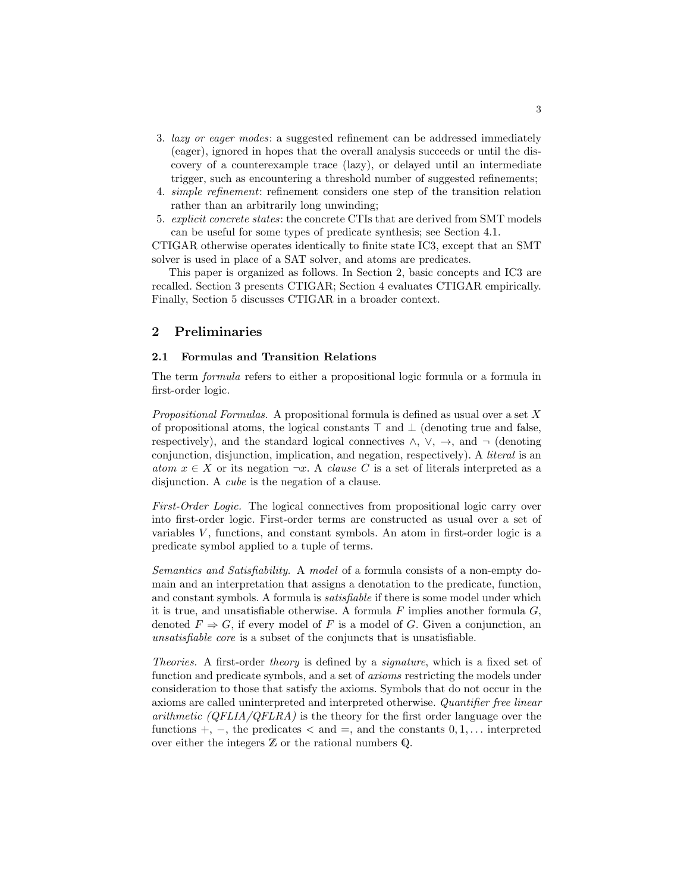- 3. lazy or eager modes: a suggested refinement can be addressed immediately (eager), ignored in hopes that the overall analysis succeeds or until the discovery of a counterexample trace (lazy), or delayed until an intermediate trigger, such as encountering a threshold number of suggested refinements;
- 4. simple refinement: refinement considers one step of the transition relation rather than an arbitrarily long unwinding;
- 5. explicit concrete states: the concrete CTIs that are derived from SMT models can be useful for some types of predicate synthesis; see Section 4.1.

CTIGAR otherwise operates identically to finite state IC3, except that an SMT solver is used in place of a SAT solver, and atoms are predicates.

This paper is organized as follows. In Section 2, basic concepts and IC3 are recalled. Section 3 presents CTIGAR; Section 4 evaluates CTIGAR empirically. Finally, Section 5 discusses CTIGAR in a broader context.

## 2 Preliminaries

### 2.1 Formulas and Transition Relations

The term formula refers to either a propositional logic formula or a formula in first-order logic.

Propositional Formulas. A propositional formula is defined as usual over a set  $X$ of propositional atoms, the logical constants  $\top$  and  $\bot$  (denoting true and false, respectively), and the standard logical connectives  $\wedge$ ,  $\vee$ ,  $\rightarrow$ , and  $\neg$  (denoting conjunction, disjunction, implication, and negation, respectively). A literal is an atom  $x \in X$  or its negation  $\neg x$ . A clause C is a set of literals interpreted as a disjunction. A cube is the negation of a clause.

First-Order Logic. The logical connectives from propositional logic carry over into first-order logic. First-order terms are constructed as usual over a set of variables  $V$ , functions, and constant symbols. An atom in first-order logic is a predicate symbol applied to a tuple of terms.

Semantics and Satisfiability. A model of a formula consists of a non-empty domain and an interpretation that assigns a denotation to the predicate, function, and constant symbols. A formula is *satisfiable* if there is some model under which it is true, and unsatisfiable otherwise. A formula  $F$  implies another formula  $G$ , denoted  $F \Rightarrow G$ , if every model of F is a model of G. Given a conjunction, an unsatisfiable core is a subset of the conjuncts that is unsatisfiable.

Theories. A first-order theory is defined by a signature, which is a fixed set of function and predicate symbols, and a set of axioms restricting the models under consideration to those that satisfy the axioms. Symbols that do not occur in the axioms are called uninterpreted and interpreted otherwise. Quantifier free linear arithmetic  $(QFLIA/QFLRA)$  is the theory for the first order language over the functions  $+, -$ , the predicates  $\lt$  and  $=$ , and the constants  $0, 1, \ldots$  interpreted over either the integers  $\mathbb Z$  or the rational numbers  $\mathbb Q$ .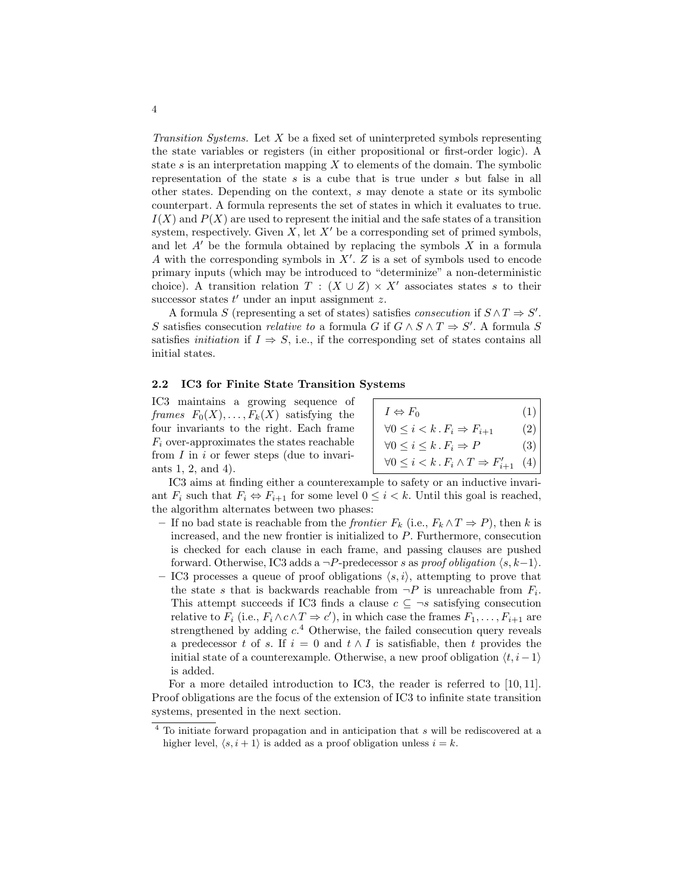Transition Systems. Let X be a fixed set of uninterpreted symbols representing the state variables or registers (in either propositional or first-order logic). A state s is an interpretation mapping  $X$  to elements of the domain. The symbolic representation of the state s is a cube that is true under s but false in all other states. Depending on the context, s may denote a state or its symbolic counterpart. A formula represents the set of states in which it evaluates to true.  $I(X)$  and  $P(X)$  are used to represent the initial and the safe states of a transition system, respectively. Given  $X$ , let  $X'$  be a corresponding set of primed symbols, and let  $A'$  be the formula obtained by replacing the symbols  $X$  in a formula A with the corresponding symbols in  $X'$ . Z is a set of symbols used to encode primary inputs (which may be introduced to "determinize" a non-deterministic choice). A transition relation  $T : (X \cup Z) \times X'$  associates states s to their successor states  $t'$  under an input assignment  $z$ .

A formula S (representing a set of states) satisfies *consecution* if  $S \wedge T \Rightarrow S'$ . S satisfies consecution *relative to* a formula G if  $G \wedge S \wedge T \Rightarrow S'$ . A formula S satisfies *initiation* if  $I \Rightarrow S$ , i.e., if the corresponding set of states contains all initial states.

#### 2.2 IC3 for Finite State Transition Systems

IC3 maintains a growing sequence of frames  $F_0(X), \ldots, F_k(X)$  satisfying the four invariants to the right. Each frame  $F_i$  over-approximates the states reachable from  $I$  in  $i$  or fewer steps (due to invariants 1, 2, and 4).

| $I \Leftrightarrow F_0$                                         | (1) |
|-----------------------------------------------------------------|-----|
| $\forall 0 \leq i \leq k$ . $F_i \Rightarrow F_{i+1}$           | (2) |
| $\forall 0 \leq i \leq k$ . $F_i \Rightarrow P$                 | (3) |
| $\forall 0 \leq i \leq k$ . $F_i \wedge T \Rightarrow F'_{i+1}$ | (4) |

IC3 aims at finding either a counterexample to safety or an inductive invariant  $F_i$  such that  $F_i \Leftrightarrow F_{i+1}$  for some level  $0 \leq i \leq k$ . Until this goal is reached, the algorithm alternates between two phases:

- If no bad state is reachable from the *frontier*  $F_k$  (i.e.,  $F_k \wedge T \Rightarrow P$ ), then k is increased, and the new frontier is initialized to P. Furthermore, consecution is checked for each clause in each frame, and passing clauses are pushed forward. Otherwise, IC3 adds a  $\neg P$ -predecessor s as proof obligation  $\langle s, k-1 \rangle$ .
- IC3 processes a queue of proof obligations  $\langle s, i \rangle$ , attempting to prove that the state s that is backwards reachable from  $\neg P$  is unreachable from  $F_i$ . This attempt succeeds if IC3 finds a clause  $c \subseteq \neg s$  satisfying consecution relative to  $F_i$  (i.e.,  $F_i \wedge c \wedge T \Rightarrow c'$ ), in which case the frames  $F_1, \ldots, F_{i+1}$  are strengthened by adding  $c<sup>4</sup>$  Otherwise, the failed consecution query reveals a predecessor t of s. If  $i = 0$  and  $t \wedge I$  is satisfiable, then t provides the initial state of a counterexample. Otherwise, a new proof obligation  $\langle t, i-1 \rangle$ is added.

For a more detailed introduction to IC3, the reader is referred to [10, 11]. Proof obligations are the focus of the extension of IC3 to infinite state transition systems, presented in the next section.

<sup>4</sup> To initiate forward propagation and in anticipation that s will be rediscovered at a higher level,  $\langle s, i + 1 \rangle$  is added as a proof obligation unless  $i = k$ .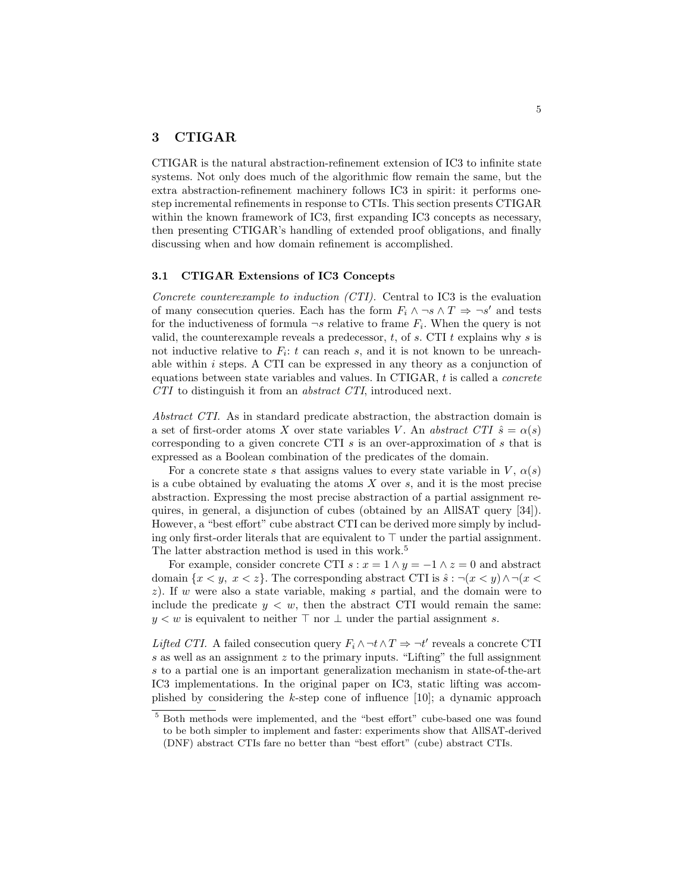# 3 CTIGAR

CTIGAR is the natural abstraction-refinement extension of IC3 to infinite state systems. Not only does much of the algorithmic flow remain the same, but the extra abstraction-refinement machinery follows IC3 in spirit: it performs onestep incremental refinements in response to CTIs. This section presents CTIGAR within the known framework of IC3, first expanding IC3 concepts as necessary, then presenting CTIGAR's handling of extended proof obligations, and finally discussing when and how domain refinement is accomplished.

#### 3.1 CTIGAR Extensions of IC3 Concepts

Concrete counterexample to induction (CTI). Central to IC3 is the evaluation of many consecution queries. Each has the form  $F_i \wedge \neg s \wedge T \Rightarrow \neg s'$  and tests for the inductiveness of formula  $\neg s$  relative to frame  $F_i$ . When the query is not valid, the counterexample reveals a predecessor,  $t$ , of s. CTI  $t$  explains why s is not inductive relative to  $F_i$ : t can reach s, and it is not known to be unreachable within  $i$  steps. A CTI can be expressed in any theory as a conjunction of equations between state variables and values. In CTIGAR, t is called a concrete CTI to distinguish it from an abstract CTI, introduced next.

Abstract CTI. As in standard predicate abstraction, the abstraction domain is a set of first-order atoms X over state variables V. An abstract CTI  $\hat{s} = \alpha(s)$ corresponding to a given concrete CTI s is an over-approximation of s that is expressed as a Boolean combination of the predicates of the domain.

For a concrete state s that assigns values to every state variable in V,  $\alpha(s)$ is a cube obtained by evaluating the atoms  $X$  over  $s$ , and it is the most precise abstraction. Expressing the most precise abstraction of a partial assignment requires, in general, a disjunction of cubes (obtained by an AllSAT query [34]). However, a "best effort" cube abstract CTI can be derived more simply by including only first-order literals that are equivalent to  $\top$  under the partial assignment. The latter abstraction method is used in this work.<sup>5</sup>

For example, consider concrete CTI  $s : x = 1 \wedge y = -1 \wedge z = 0$  and abstract domain  $\{x \leq y, x \leq z\}$ . The corresponding abstract CTI is  $\hat{s} : \neg(x \leq y) \wedge \neg(x \leq y)$ z). If w were also a state variable, making s partial, and the domain were to include the predicate  $y < w$ , then the abstract CTI would remain the same:  $y < w$  is equivalent to neither  $\top$  nor  $\bot$  under the partial assignment s.

Lifted CTI. A failed consecution query  $F_i \wedge \neg t \wedge T \Rightarrow \neg t'$  reveals a concrete CTI s as well as an assignment  $z$  to the primary inputs. "Lifting" the full assignment s to a partial one is an important generalization mechanism in state-of-the-art IC3 implementations. In the original paper on IC3, static lifting was accomplished by considering the k-step cone of influence  $[10]$ ; a dynamic approach

<sup>5</sup> Both methods were implemented, and the "best effort" cube-based one was found to be both simpler to implement and faster: experiments show that AllSAT-derived (DNF) abstract CTIs fare no better than "best effort" (cube) abstract CTIs.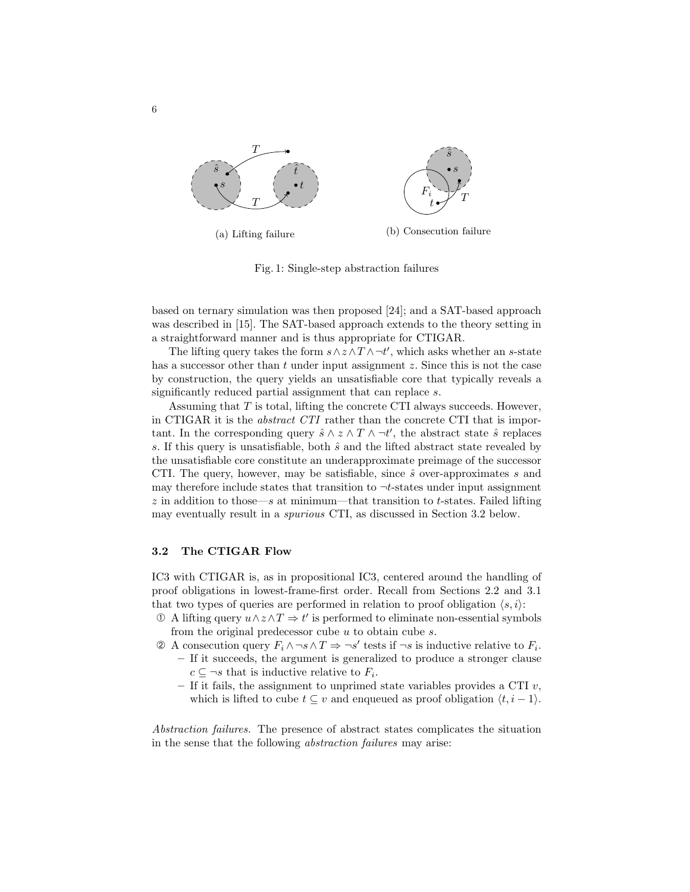

Fig. 1: Single-step abstraction failures

based on ternary simulation was then proposed [24]; and a SAT-based approach was described in [15]. The SAT-based approach extends to the theory setting in a straightforward manner and is thus appropriate for CTIGAR.

The lifting query takes the form  $s \wedge z \wedge T \wedge \neg t'$ , which asks whether an s-state has a successor other than t under input assignment  $z$ . Since this is not the case by construction, the query yields an unsatisfiable core that typically reveals a significantly reduced partial assignment that can replace s.

Assuming that T is total, lifting the concrete CTI always succeeds. However, in CTIGAR it is the abstract CTI rather than the concrete CTI that is important. In the corresponding query  $\hat{s} \wedge z \wedge T \wedge \neg t'$ , the abstract state  $\hat{s}$  replaces s. If this query is unsatisfiable, both  $\hat{s}$  and the lifted abstract state revealed by the unsatisfiable core constitute an underapproximate preimage of the successor CTI. The query, however, may be satisfiable, since  $\hat{s}$  over-approximates s and may therefore include states that transition to  $\neg t$ -states under input assignment  $z$  in addition to those—s at minimum—that transition to t-states. Failed lifting may eventually result in a spurious CTI, as discussed in Section 3.2 below.

#### 3.2 The CTIGAR Flow

IC3 with CTIGAR is, as in propositional IC3, centered around the handling of proof obligations in lowest-frame-first order. Recall from Sections 2.2 and 3.1 that two types of queries are performed in relation to proof obligation  $\langle s, i \rangle$ :

- ① A lifting query  $u \wedge z \wedge T \Rightarrow t'$  is performed to eliminate non-essential symbols from the original predecessor cube  $u$  to obtain cube  $s$ .
- ② A consecution query  $F_i \wedge \neg s \wedge T \Rightarrow \neg s'$  tests if  $\neg s$  is inductive relative to  $F_i$ .
	- If it succeeds, the argument is generalized to produce a stronger clause  $c \subseteq \neg s$  that is inductive relative to  $F_i$ .
	- If it fails, the assignment to unprimed state variables provides a CTI  $v$ , which is lifted to cube  $t \subseteq v$  and enqueued as proof obligation  $\langle t, i - 1 \rangle$ .

Abstraction failures. The presence of abstract states complicates the situation in the sense that the following abstraction failures may arise: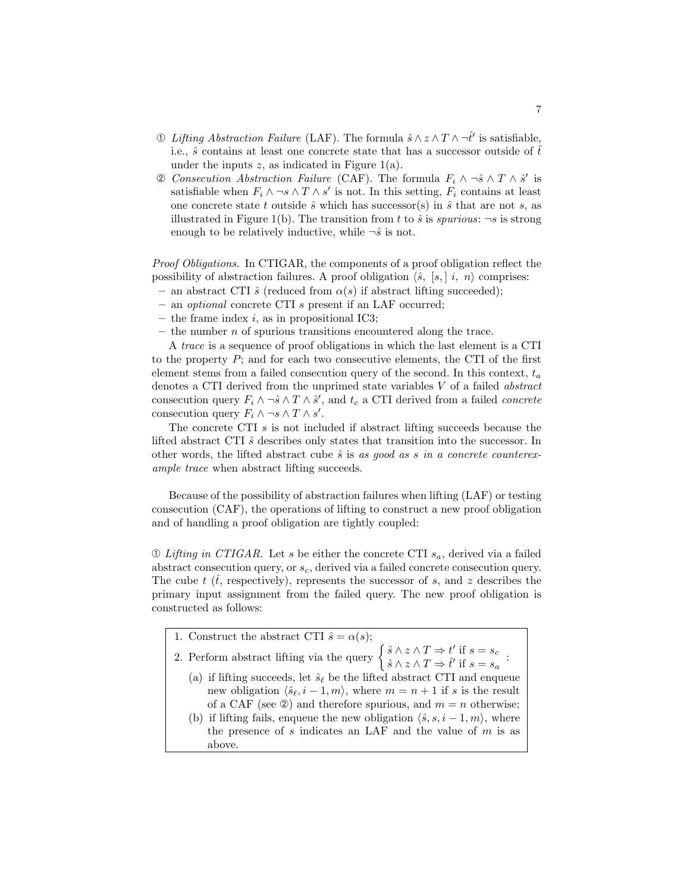- ① Lifting Abstraction Failure (LAF). The formula  $\hat{s} \wedge z \wedge T \wedge \neg \hat{t}'$  is satisfiable, i.e.,  $\hat{s}$  contains at least one concrete state that has a successor outside of  $\hat{t}$ under the inputs  $z$ , as indicated in Figure 1(a).
- © Consecution Abstraction Failure (CAF). The formula  $F_i \wedge \neg \hat{s} \wedge T \wedge \hat{s}'$  is satisfiable when  $F_i \wedge \neg s \wedge T \wedge s'$  is not. In this setting,  $F_i$  contains at least one concrete state t outside  $\hat{s}$  which has successor(s) in  $\hat{s}$  that are not s, as illustrated in Figure 1(b). The transition from t to  $\hat{s}$  is spurious:  $\neg s$  is strong enough to be relatively inductive, while  $\neg \hat{s}$  is not.

Proof Obligations. In CTIGAR, the components of a proof obligation reflect the possibility of abstraction failures. A proof obligation  $\langle \hat{s}, [s], i, n \rangle$  comprises:

- an abstract CTI  $\hat{s}$  (reduced from  $\alpha(s)$ ) if abstract lifting succeeded);
- an optional concrete CTI s present if an LAF occurred;
- the frame index  $i$ , as in propositional IC3;
- the number  $n$  of spurious transitions encountered along the trace.

A trace is a sequence of proof obligations in which the last element is a CTI to the property  $P$ ; and for each two consecutive elements, the CTI of the first element stems from a failed consecution query of the second. In this context,  $t_a$ denotes a CTI derived from the unprimed state variables V of a failed abstract consecution query  $F_i \wedge \neg \hat{s} \wedge T \wedge \hat{s}'$ , and  $t_c$  a CTI derived from a failed *concrete* consecution query  $F_i \wedge \neg s \wedge T \wedge s'$ .

The concrete CTI s is not included if abstract lifting succeeds because the lifted abstract CTI  $\hat{s}$  describes only states that transition into the successor. In other words, the lifted abstract cube  $\hat{s}$  is as good as s in a concrete counterexample trace when abstract lifting succeeds.

Because of the possibility of abstraction failures when lifting (LAF) or testing consecution (CAF), the operations of lifting to construct a new proof obligation and of handling a proof obligation are tightly coupled:

 $\mathcal D$  Lifting in CTIGAR. Let s be either the concrete CTI  $s_a$ , derived via a failed abstract consecution query, or  $s_c$ , derived via a failed concrete consecution query. The cube t  $(\hat{t},$  respectively), represents the successor of s, and z describes the primary input assignment from the failed query. The new proof obligation is constructed as follows:

- 1. Construct the abstract CTI  $\hat{s} = \alpha(s);$
- 2. Perform abstract lifting via the query  $\begin{cases} \hat{s} \wedge z \wedge T \Rightarrow t' \text{ if } s = s_c \end{cases}$  $\hat{s} \wedge z \wedge T \Rightarrow \hat{t}'$  if  $s = s_a$ :
	- (a) if lifting succeeds, let  $\hat{s}_{\ell}$  be the lifted abstract CTI and enqueue new obligation  $\langle \hat{s}_{\ell}, i - 1, m \rangle$ , where  $m = n + 1$  if s is the result of a CAF (see  $\circledcirc$ ) and therefore spurious, and  $m = n$  otherwise;
	- (b) if lifting fails, enqueue the new obligation  $\langle \hat{s}, s, i 1, m \rangle$ , where the presence of  $s$  indicates an LAF and the value of  $m$  is as above.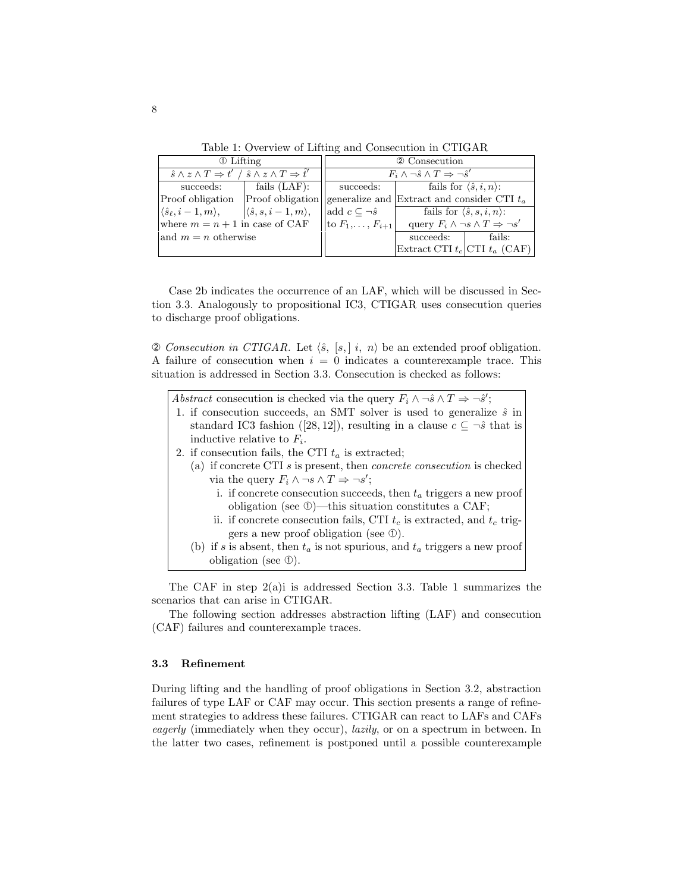Table 1: Overview of Lifting and Consecution in CTIGAR

|                                                                                       | 1 Lifting                                                                             |                                                              | 2 Consecution                                          |                                             |                                                |  |
|---------------------------------------------------------------------------------------|---------------------------------------------------------------------------------------|--------------------------------------------------------------|--------------------------------------------------------|---------------------------------------------|------------------------------------------------|--|
| $\hat{s} \wedge z \wedge T \Rightarrow t' / \hat{s} \wedge z \wedge T \Rightarrow t'$ |                                                                                       | $F_i \wedge \neg \hat{s} \wedge T \Rightarrow \neg \hat{s}'$ |                                                        |                                             |                                                |  |
|                                                                                       |                                                                                       | succeeds:   fails (LAF):                                     | succeeds:                                              | fails for $\langle \hat{s}, i, n \rangle$ : |                                                |  |
|                                                                                       | Proof obligation   Proof obligation                                                   |                                                              | generalize and Extract and consider CTI $t_a$          |                                             |                                                |  |
|                                                                                       | $\langle \hat{s}_{\ell}, i-1, m \rangle, \qquad  \langle \hat{s}, s, i-1, m \rangle,$ |                                                              | add $c \subseteq \neg \hat{s}$                         |                                             | fails for $\langle \hat{s}, s, i, n \rangle$ : |  |
| where $m = n + 1$ in case of CAF                                                      |                                                                                       | $  \text{to } F_1, \ldots, F_{i+1}  $                        | query $F_i \wedge \neg s \wedge T \Rightarrow \neg s'$ |                                             |                                                |  |
|                                                                                       | and $m = n$ otherwise                                                                 |                                                              |                                                        | succeeds:                                   | fails:                                         |  |
|                                                                                       |                                                                                       |                                                              |                                                        | Extract CTI $t_c$ CTI $t_a$ (CAF)           |                                                |  |

Case 2b indicates the occurrence of an LAF, which will be discussed in Section 3.3. Analogously to propositional IC3, CTIGAR uses consecution queries to discharge proof obligations.

 $\oslash$  Consecution in CTIGAR. Let  $\hat{s}$ ,  $[s, ]i, n\rangle$  be an extended proof obligation. A failure of consecution when  $i = 0$  indicates a counterexample trace. This situation is addressed in Section 3.3. Consecution is checked as follows:

| Abstract consecution is checked via the query $F_i \wedge \neg \hat{s} \wedge T \Rightarrow \neg \hat{s}'$ ; |
|--------------------------------------------------------------------------------------------------------------|
| 1. if consecution succeeds, an SMT solver is used to generalize $\hat{s}$ in                                 |
| standard IC3 fashion ([28, 12]), resulting in a clause $c \subseteq \neg \hat{s}$ that is                    |
| inductive relative to $F_i$ .                                                                                |
| 2. if consecution fails, the CTI $t_a$ is extracted;                                                         |
| (a) if concrete CTI $s$ is present, then <i>concrete consecution</i> is checked                              |
| via the query $F_i \wedge \neg s \wedge T \Rightarrow \neg s'$ ;                                             |
| i. if concrete consecution succeeds, then $t_a$ triggers a new proof                                         |
| obligation (see $\circled{1}$ )—this situation constitutes a CAF;                                            |
| ii. if concrete consecution fails, CTI $t_c$ is extracted, and $t_c$ trig-                                   |
| gers a new proof obligation (see $\mathcal{D}$ ).                                                            |
| (b) if s is absent, then $t_a$ is not spurious, and $t_a$ triggers a new proof                               |
| obligation (see $\mathcal{D}$ ).                                                                             |

The CAF in step 2(a)i is addressed Section 3.3. Table 1 summarizes the scenarios that can arise in CTIGAR.

The following section addresses abstraction lifting (LAF) and consecution (CAF) failures and counterexample traces.

#### 3.3 Refinement

During lifting and the handling of proof obligations in Section 3.2, abstraction failures of type LAF or CAF may occur. This section presents a range of refinement strategies to address these failures. CTIGAR can react to LAFs and CAFs eagerly (immediately when they occur), lazily, or on a spectrum in between. In the latter two cases, refinement is postponed until a possible counterexample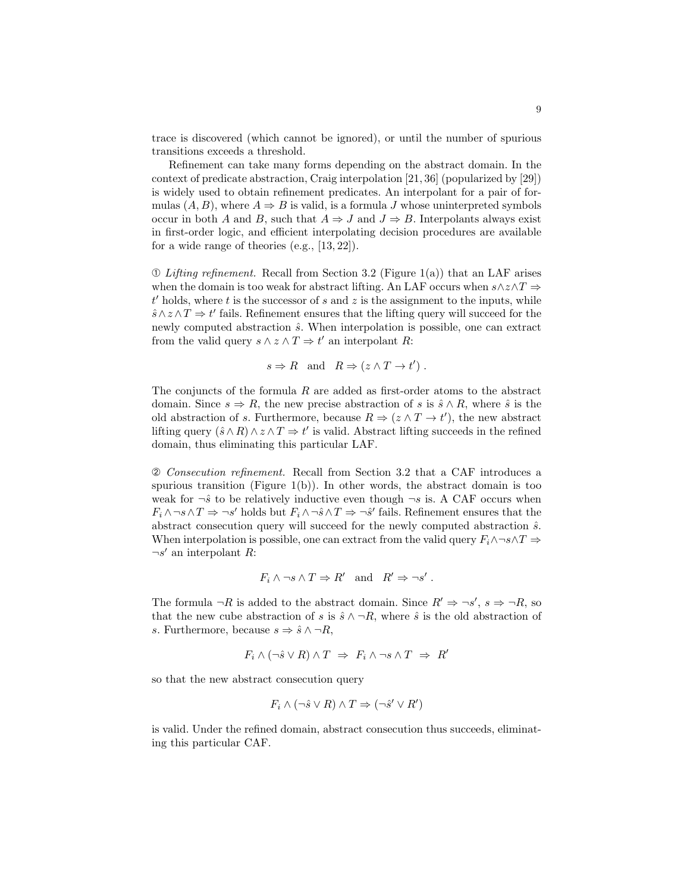trace is discovered (which cannot be ignored), or until the number of spurious transitions exceeds a threshold.

Refinement can take many forms depending on the abstract domain. In the context of predicate abstraction, Craig interpolation [21, 36] (popularized by [29]) is widely used to obtain refinement predicates. An interpolant for a pair of formulas  $(A, B)$ , where  $A \Rightarrow B$  is valid, is a formula J whose uninterpreted symbols occur in both A and B, such that  $A \Rightarrow J$  and  $J \Rightarrow B$ . Interpolants always exist in first-order logic, and efficient interpolating decision procedures are available for a wide range of theories (e.g., [13, 22]).

 $\mathcal D$  Lifting refinement. Recall from Section 3.2 (Figure 1(a)) that an LAF arises when the domain is too weak for abstract lifting. An LAF occurs when  $s \land z \land T \Rightarrow$  $t'$  holds, where t is the successor of s and z is the assignment to the inputs, while  $\hat{s} \wedge z \wedge T \Rightarrow t'$  fails. Refinement ensures that the lifting query will succeed for the newly computed abstraction  $\hat{s}$ . When interpolation is possible, one can extract from the valid query  $s \wedge z \wedge T \Rightarrow t'$  an interpolant R:

$$
s \Rightarrow R
$$
 and  $R \Rightarrow (z \land T \to t')$ .

The conjuncts of the formula  $R$  are added as first-order atoms to the abstract domain. Since  $s \Rightarrow R$ , the new precise abstraction of s is  $\hat{s} \wedge R$ , where  $\hat{s}$  is the old abstraction of s. Furthermore, because  $R \Rightarrow (z \wedge T \rightarrow t')$ , the new abstract lifting query  $(\hat{s} \wedge R) \wedge z \wedge T \Rightarrow t'$  is valid. Abstract lifting succeeds in the refined domain, thus eliminating this particular LAF.

➁ Consecution refinement. Recall from Section 3.2 that a CAF introduces a spurious transition (Figure 1(b)). In other words, the abstract domain is too weak for  $\neg$ s to be relatively inductive even though  $\neg$ s is. A CAF occurs when  $F_i \wedge \neg s \wedge T \Rightarrow \neg s'$  holds but  $F_i \wedge \neg \hat{s} \wedge T \Rightarrow \neg \hat{s}'$  fails. Refinement ensures that the abstract consecution query will succeed for the newly computed abstraction  $\hat{s}$ . When interpolation is possible, one can extract from the valid query  $F_i \wedge \neg s \wedge T \Rightarrow$  $\neg s'$  an interpolant R:

$$
F_i \wedge \neg s \wedge T \Rightarrow R'
$$
 and  $R' \Rightarrow \neg s'.$ 

The formula  $\neg R$  is added to the abstract domain. Since  $R' \Rightarrow \neg s', s \Rightarrow \neg R$ , so that the new cube abstraction of s is  $\hat{s} \wedge \neg R$ , where  $\hat{s}$  is the old abstraction of s. Furthermore, because  $s \Rightarrow \hat{s} \land \neg R$ ,

$$
F_i \wedge (\neg \hat{s} \vee R) \wedge T \Rightarrow F_i \wedge \neg s \wedge T \Rightarrow R'
$$

so that the new abstract consecution query

$$
F_i \wedge (\neg \hat{s} \vee R) \wedge T \Rightarrow (\neg \hat{s}' \vee R')
$$

is valid. Under the refined domain, abstract consecution thus succeeds, eliminating this particular CAF.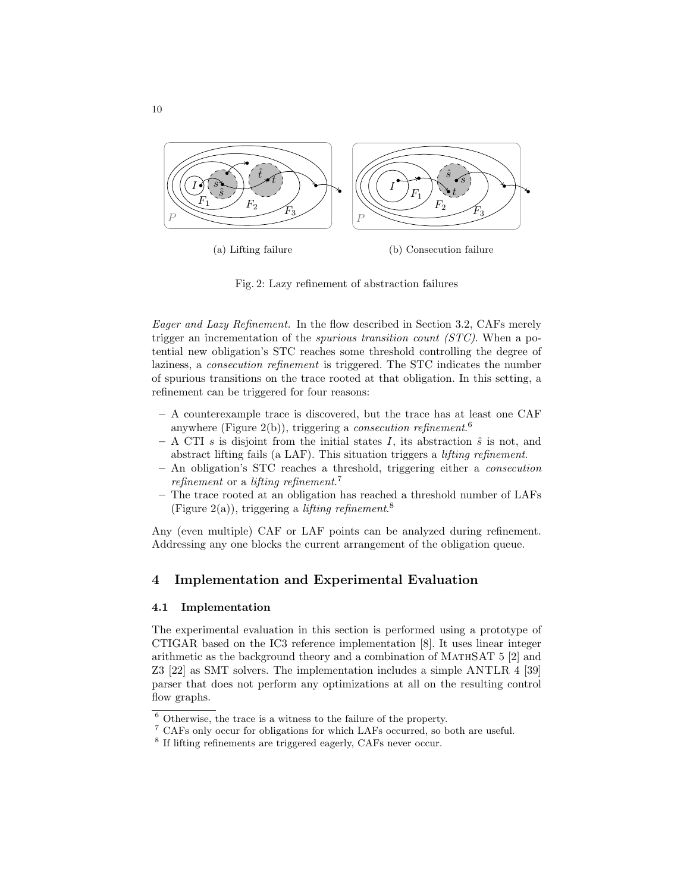

Fig. 2: Lazy refinement of abstraction failures

Eager and Lazy Refinement. In the flow described in Section 3.2, CAFs merely trigger an incrementation of the *spurious transition count (STC)*. When a potential new obligation's STC reaches some threshold controlling the degree of laziness, a consecution refinement is triggered. The STC indicates the number of spurious transitions on the trace rooted at that obligation. In this setting, a refinement can be triggered for four reasons:

- A counterexample trace is discovered, but the trace has at least one CAF anywhere (Figure 2(b)), triggering a *consecution refinement*.<sup>6</sup>
- $A$  CTI s is disjoint from the initial states I, its abstraction  $\hat{s}$  is not, and abstract lifting fails (a LAF). This situation triggers a lifting refinement.
- An obligation's STC reaches a threshold, triggering either a consecution refinement or a lifting refinement.<sup>7</sup>
- The trace rooted at an obligation has reached a threshold number of LAFs (Figure 2(a)), triggering a *lifting refinement*.<sup>8</sup>

Any (even multiple) CAF or LAF points can be analyzed during refinement. Addressing any one blocks the current arrangement of the obligation queue.

# 4 Implementation and Experimental Evaluation

### 4.1 Implementation

The experimental evaluation in this section is performed using a prototype of CTIGAR based on the IC3 reference implementation [8]. It uses linear integer arithmetic as the background theory and a combination of MathSAT 5 [2] and Z3 [22] as SMT solvers. The implementation includes a simple ANTLR 4 [39] parser that does not perform any optimizations at all on the resulting control flow graphs.

 $6$  Otherwise, the trace is a witness to the failure of the property.

<sup>7</sup> CAFs only occur for obligations for which LAFs occurred, so both are useful.

<sup>8</sup> If lifting refinements are triggered eagerly, CAFs never occur.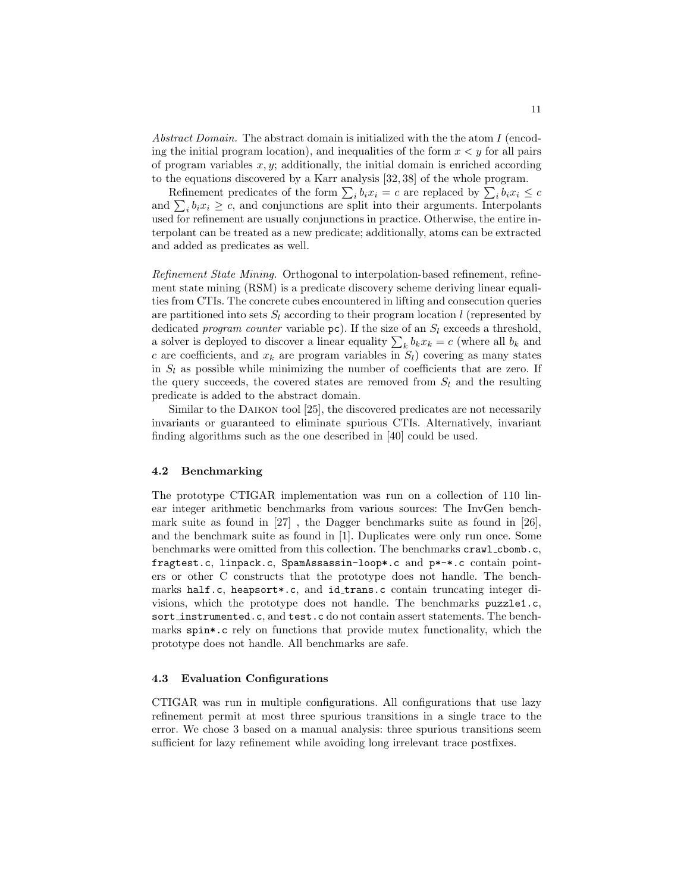Abstract Domain. The abstract domain is initialized with the the atom I (encoding the initial program location), and inequalities of the form  $x < y$  for all pairs of program variables  $x, y$ ; additionally, the initial domain is enriched according to the equations discovered by a Karr analysis [32, 38] of the whole program.

Refinement predicates of the form  $\sum_i b_i x_i = c$  are replaced by  $\sum_i b_i x_i \leq c$ and  $\sum_i b_i x_i \geq c$ , and conjunctions are split into their arguments. Interpolants used for refinement are usually conjunctions in practice. Otherwise, the entire interpolant can be treated as a new predicate; additionally, atoms can be extracted and added as predicates as well.

Refinement State Mining. Orthogonal to interpolation-based refinement, refinement state mining (RSM) is a predicate discovery scheme deriving linear equalities from CTIs. The concrete cubes encountered in lifting and consecution queries are partitioned into sets  $S_l$  according to their program location l (represented by dedicated program counter variable  $pc$ ). If the size of an  $S_l$  exceeds a threshold, a solver is deployed to discover a linear equality  $\sum_k b_k x_k = c$  (where all  $b_k$  and c are coefficients, and  $x_k$  are program variables in  $S_l$ ) covering as many states in  $S_l$  as possible while minimizing the number of coefficients that are zero. If the query succeeds, the covered states are removed from  $S_l$  and the resulting predicate is added to the abstract domain.

Similar to the DAIKON tool [25], the discovered predicates are not necessarily invariants or guaranteed to eliminate spurious CTIs. Alternatively, invariant finding algorithms such as the one described in [40] could be used.

## 4.2 Benchmarking

The prototype CTIGAR implementation was run on a collection of 110 linear integer arithmetic benchmarks from various sources: The InvGen benchmark suite as found in [27] , the Dagger benchmarks suite as found in [26], and the benchmark suite as found in [1]. Duplicates were only run once. Some benchmarks were omitted from this collection. The benchmarks crawl cbomb.c, fragtest.c, linpack.c, SpamAssassin-loop\*.c and p\*-\*.c contain pointers or other C constructs that the prototype does not handle. The benchmarks half.c, heapsort\*.c, and id\_trans.c contain truncating integer divisions, which the prototype does not handle. The benchmarks puzzle1.c, sort instrumented.c, and test.c do not contain assert statements. The benchmarks spin\*.c rely on functions that provide mutex functionality, which the prototype does not handle. All benchmarks are safe.

### 4.3 Evaluation Configurations

CTIGAR was run in multiple configurations. All configurations that use lazy refinement permit at most three spurious transitions in a single trace to the error. We chose 3 based on a manual analysis: three spurious transitions seem sufficient for lazy refinement while avoiding long irrelevant trace postfixes.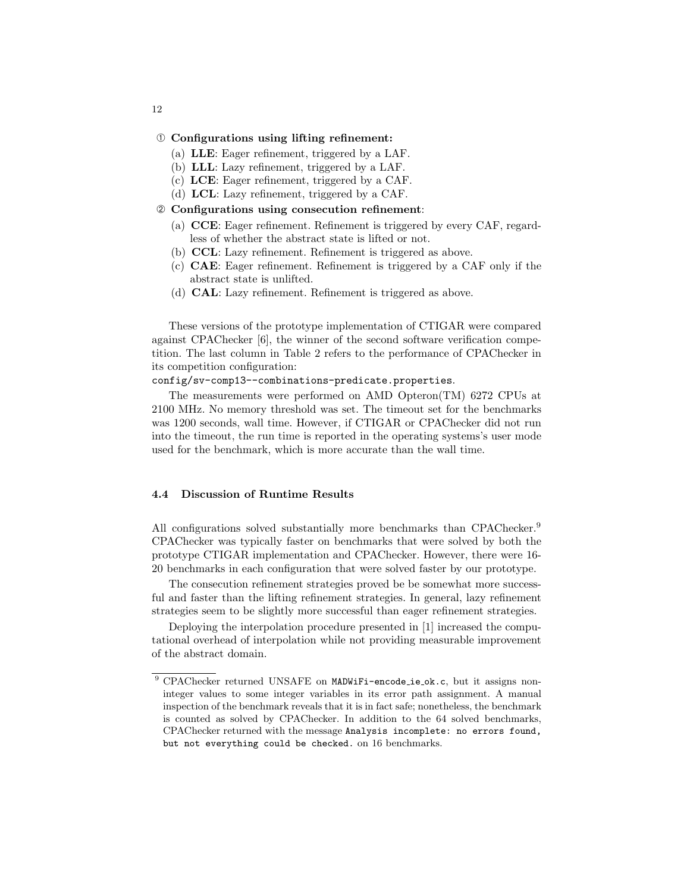#### ➀ Configurations using lifting refinement:

- (a) LLE: Eager refinement, triggered by a LAF.
- (b) LLL: Lazy refinement, triggered by a LAF.
- (c) LCE: Eager refinement, triggered by a CAF.
- (d) LCL: Lazy refinement, triggered by a CAF.

## ➁ Configurations using consecution refinement:

- (a) CCE: Eager refinement. Refinement is triggered by every CAF, regardless of whether the abstract state is lifted or not.
- (b) CCL: Lazy refinement. Refinement is triggered as above.
- (c) CAE: Eager refinement. Refinement is triggered by a CAF only if the abstract state is unlifted.
- (d) CAL: Lazy refinement. Refinement is triggered as above.

These versions of the prototype implementation of CTIGAR were compared against CPAChecker [6], the winner of the second software verification competition. The last column in Table 2 refers to the performance of CPAChecker in its competition configuration:

config/sv-comp13--combinations-predicate.properties.

The measurements were performed on AMD Opteron(TM) 6272 CPUs at 2100 MHz. No memory threshold was set. The timeout set for the benchmarks was 1200 seconds, wall time. However, if CTIGAR or CPAChecker did not run into the timeout, the run time is reported in the operating systems's user mode used for the benchmark, which is more accurate than the wall time.

#### 4.4 Discussion of Runtime Results

All configurations solved substantially more benchmarks than CPAChecker.<sup>9</sup> CPAChecker was typically faster on benchmarks that were solved by both the prototype CTIGAR implementation and CPAChecker. However, there were 16- 20 benchmarks in each configuration that were solved faster by our prototype.

The consecution refinement strategies proved be be somewhat more successful and faster than the lifting refinement strategies. In general, lazy refinement strategies seem to be slightly more successful than eager refinement strategies.

Deploying the interpolation procedure presented in [1] increased the computational overhead of interpolation while not providing measurable improvement of the abstract domain.

12

<sup>&</sup>lt;sup>9</sup> CPAChecker returned UNSAFE on MADWiFi-encode\_ie\_ok.c, but it assigns noninteger values to some integer variables in its error path assignment. A manual inspection of the benchmark reveals that it is in fact safe; nonetheless, the benchmark is counted as solved by CPAChecker. In addition to the 64 solved benchmarks, CPAChecker returned with the message Analysis incomplete: no errors found, but not everything could be checked. on 16 benchmarks.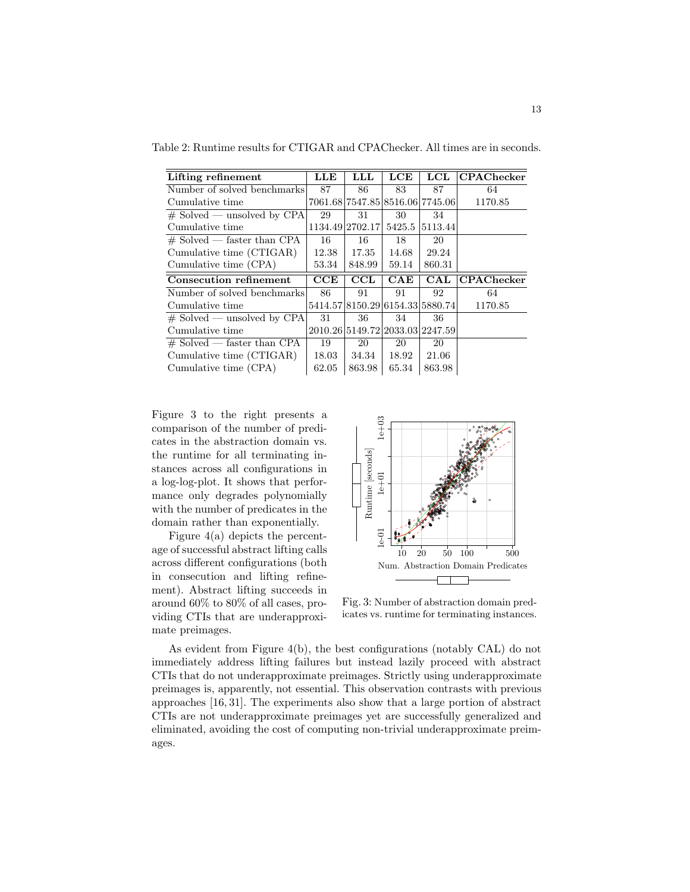Table 2: Runtime results for CTIGAR and CPAChecker. All times are in seconds.

| Lifting refinement           | LLE   | LLL                             | LCE    | LCL        | <b>CPAChecker</b> |
|------------------------------|-------|---------------------------------|--------|------------|-------------------|
| Number of solved benchmarks  | 87    | 86                              | 83     | 87         | 64                |
| Cumulative time              |       | 7061.68 7547.85 8516.06 7745.06 |        |            | 1170.85           |
| $#$ Solved — unsolved by CPA | 29    | 31                              | 30     | 34         |                   |
| Cumulative time              |       | 1134.49 2702.17                 | 5425.5 | 5113.44    |                   |
| $#$ Solved — faster than CPA | 16    | 16                              | 18     | 20         |                   |
| Cumulative time (CTIGAR)     | 12.38 | 17.35                           | 14.68  | 29.24      |                   |
| Cumulative time (CPA)        | 53.34 | 848.99                          | 59.14  | 860.31     |                   |
|                              |       |                                 |        |            |                   |
| Consecution refinement       | CCE   | CCL                             | CAE    | <b>CAL</b> | <b>CPAChecker</b> |
| Number of solved benchmarks  | 86    | 91                              | 91     | 92         | 64                |
| Cumulative time              |       | 5414.57 8150.29 6154.33 5880.74 |        |            | 1170.85           |
| $#$ Solved — unsolved by CPA | 31    | 36                              | 34     | 36         |                   |
| Cumulative time              |       | 2010.26 5149.72 2033.03 2247.59 |        |            |                   |
| $#$ Solved — faster than CPA | 19    | 20                              | 20     | 20         |                   |
| Cumulative time (CTIGAR)     | 18.03 | 34.34                           | 18.92  | 21.06      |                   |

Figure 3 to the right presents a comparison of the number of predicates in the abstraction domain vs. the runtime for all terminating instances across all configurations in a log-log-plot. It shows that performance only degrades polynomially with the number of predicates in the domain rather than exponentially.

Figure 4(a) depicts the percentage of successful abstract lifting calls across different configurations (both in consecution and lifting refinement). Abstract lifting succeeds in around 60% to 80% of all cases, providing CTIs that are underapproximate preimages.



Fig. 3: Number of abstraction domain predicates vs. runtime for terminating instances.

As evident from Figure 4(b), the best configurations (notably CAL) do not immediately address lifting failures but instead lazily proceed with abstract CTIs that do not underapproximate preimages. Strictly using underapproximate preimages is, apparently, not essential. This observation contrasts with previous approaches [16, 31]. The experiments also show that a large portion of abstract CTIs are not underapproximate preimages yet are successfully generalized and eliminated, avoiding the cost of computing non-trivial underapproximate preimages.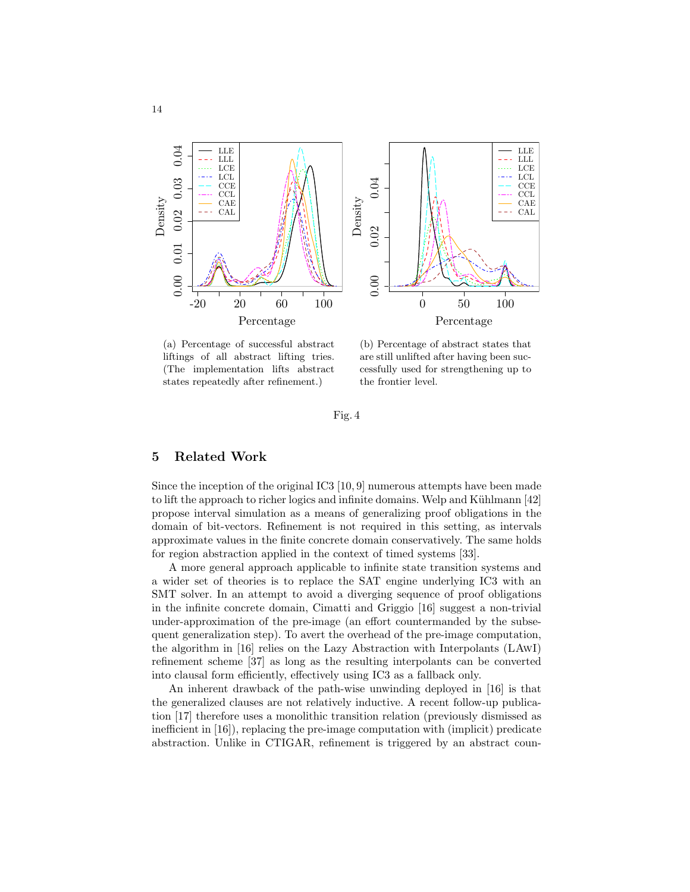



(a) Percentage of successful abstract liftings of all abstract lifting tries. (The implementation lifts abstract states repeatedly after refinement.)

(b) Percentage of abstract states that are still unlifted after having been successfully used for strengthening up to the frontier level.



## 5 Related Work

Since the inception of the original IC3 [10, 9] numerous attempts have been made to lift the approach to richer logics and infinite domains. Welp and Kühlmann  $[42]$ propose interval simulation as a means of generalizing proof obligations in the domain of bit-vectors. Refinement is not required in this setting, as intervals approximate values in the finite concrete domain conservatively. The same holds for region abstraction applied in the context of timed systems [33].

A more general approach applicable to infinite state transition systems and a wider set of theories is to replace the SAT engine underlying IC3 with an SMT solver. In an attempt to avoid a diverging sequence of proof obligations in the infinite concrete domain, Cimatti and Griggio [16] suggest a non-trivial under-approximation of the pre-image (an effort countermanded by the subsequent generalization step). To avert the overhead of the pre-image computation, the algorithm in [16] relies on the Lazy Abstraction with Interpolants (LAwI) refinement scheme [37] as long as the resulting interpolants can be converted into clausal form efficiently, effectively using IC3 as a fallback only.

An inherent drawback of the path-wise unwinding deployed in [16] is that the generalized clauses are not relatively inductive. A recent follow-up publication [17] therefore uses a monolithic transition relation (previously dismissed as inefficient in [16]), replacing the pre-image computation with (implicit) predicate abstraction. Unlike in CTIGAR, refinement is triggered by an abstract coun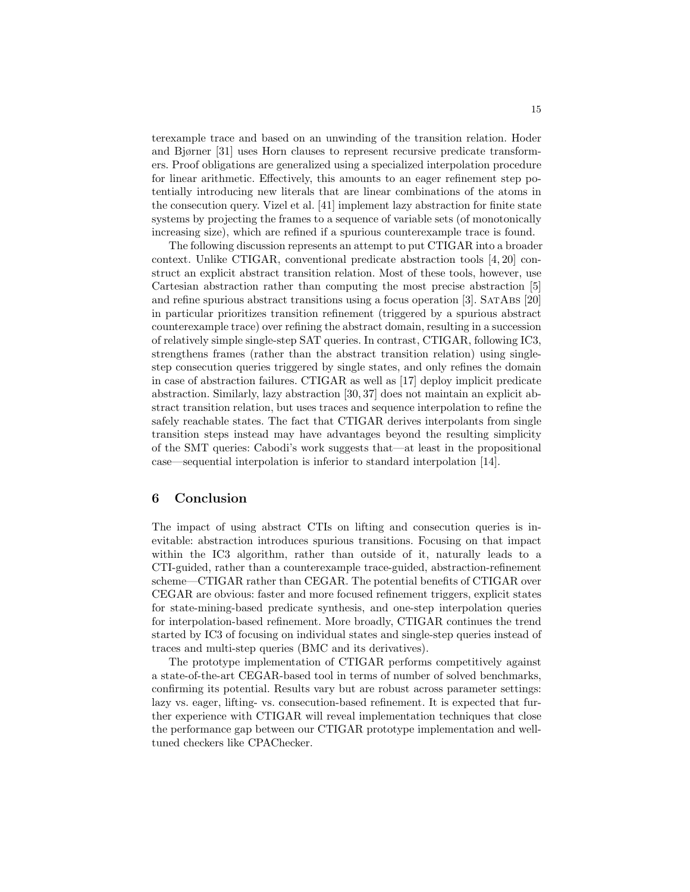terexample trace and based on an unwinding of the transition relation. Hoder and Bjørner [31] uses Horn clauses to represent recursive predicate transformers. Proof obligations are generalized using a specialized interpolation procedure for linear arithmetic. Effectively, this amounts to an eager refinement step potentially introducing new literals that are linear combinations of the atoms in the consecution query. Vizel et al. [41] implement lazy abstraction for finite state systems by projecting the frames to a sequence of variable sets (of monotonically increasing size), which are refined if a spurious counterexample trace is found.

The following discussion represents an attempt to put CTIGAR into a broader context. Unlike CTIGAR, conventional predicate abstraction tools [4, 20] construct an explicit abstract transition relation. Most of these tools, however, use Cartesian abstraction rather than computing the most precise abstraction [5] and refine spurious abstract transitions using a focus operation [3]. SATABS [20] in particular prioritizes transition refinement (triggered by a spurious abstract counterexample trace) over refining the abstract domain, resulting in a succession of relatively simple single-step SAT queries. In contrast, CTIGAR, following IC3, strengthens frames (rather than the abstract transition relation) using singlestep consecution queries triggered by single states, and only refines the domain in case of abstraction failures. CTIGAR as well as [17] deploy implicit predicate abstraction. Similarly, lazy abstraction [30, 37] does not maintain an explicit abstract transition relation, but uses traces and sequence interpolation to refine the safely reachable states. The fact that CTIGAR derives interpolants from single transition steps instead may have advantages beyond the resulting simplicity of the SMT queries: Cabodi's work suggests that—at least in the propositional case—sequential interpolation is inferior to standard interpolation [14].

# 6 Conclusion

The impact of using abstract CTIs on lifting and consecution queries is inevitable: abstraction introduces spurious transitions. Focusing on that impact within the IC3 algorithm, rather than outside of it, naturally leads to a CTI-guided, rather than a counterexample trace-guided, abstraction-refinement scheme—CTIGAR rather than CEGAR. The potential benefits of CTIGAR over CEGAR are obvious: faster and more focused refinement triggers, explicit states for state-mining-based predicate synthesis, and one-step interpolation queries for interpolation-based refinement. More broadly, CTIGAR continues the trend started by IC3 of focusing on individual states and single-step queries instead of traces and multi-step queries (BMC and its derivatives).

The prototype implementation of CTIGAR performs competitively against a state-of-the-art CEGAR-based tool in terms of number of solved benchmarks, confirming its potential. Results vary but are robust across parameter settings: lazy vs. eager, lifting- vs. consecution-based refinement. It is expected that further experience with CTIGAR will reveal implementation techniques that close the performance gap between our CTIGAR prototype implementation and welltuned checkers like CPAChecker.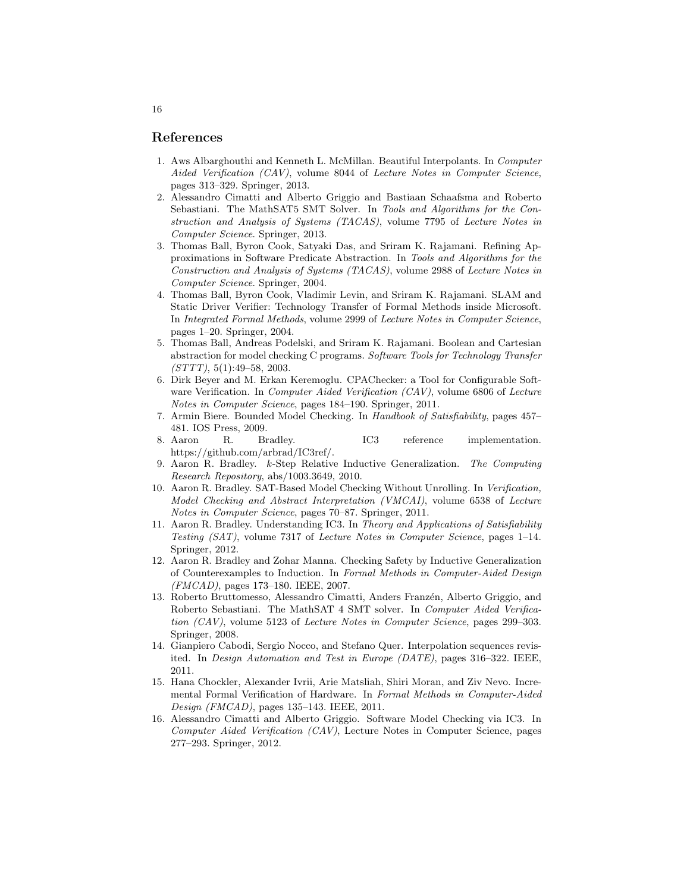## References

- 1. Aws Albarghouthi and Kenneth L. McMillan. Beautiful Interpolants. In Computer Aided Verification (CAV), volume 8044 of Lecture Notes in Computer Science, pages 313–329. Springer, 2013.
- 2. Alessandro Cimatti and Alberto Griggio and Bastiaan Schaafsma and Roberto Sebastiani. The MathSAT5 SMT Solver. In Tools and Algorithms for the Construction and Analysis of Systems (TACAS), volume 7795 of Lecture Notes in Computer Science. Springer, 2013.
- 3. Thomas Ball, Byron Cook, Satyaki Das, and Sriram K. Rajamani. Refining Approximations in Software Predicate Abstraction. In Tools and Algorithms for the Construction and Analysis of Systems (TACAS), volume 2988 of Lecture Notes in Computer Science. Springer, 2004.
- 4. Thomas Ball, Byron Cook, Vladimir Levin, and Sriram K. Rajamani. SLAM and Static Driver Verifier: Technology Transfer of Formal Methods inside Microsoft. In Integrated Formal Methods, volume 2999 of Lecture Notes in Computer Science, pages 1–20. Springer, 2004.
- 5. Thomas Ball, Andreas Podelski, and Sriram K. Rajamani. Boolean and Cartesian abstraction for model checking C programs. Software Tools for Technology Transfer  $(STTT$ ),  $5(1):49-58$ ,  $2003$ .
- 6. Dirk Beyer and M. Erkan Keremoglu. CPAChecker: a Tool for Configurable Software Verification. In *Computer Aided Verification (CAV)*, volume 6806 of *Lecture* Notes in Computer Science, pages 184–190. Springer, 2011.
- 7. Armin Biere. Bounded Model Checking. In Handbook of Satisfiability, pages 457– 481. IOS Press, 2009.
- 8. Aaron R. Bradley. IC3 reference implementation. https://github.com/arbrad/IC3ref/.
- 9. Aaron R. Bradley. k-Step Relative Inductive Generalization. The Computing Research Repository, abs/1003.3649, 2010.
- 10. Aaron R. Bradley. SAT-Based Model Checking Without Unrolling. In Verification, Model Checking and Abstract Interpretation (VMCAI), volume 6538 of Lecture Notes in Computer Science, pages 70–87. Springer, 2011.
- 11. Aaron R. Bradley. Understanding IC3. In Theory and Applications of Satisfiability Testing (SAT), volume 7317 of Lecture Notes in Computer Science, pages 1–14. Springer, 2012.
- 12. Aaron R. Bradley and Zohar Manna. Checking Safety by Inductive Generalization of Counterexamples to Induction. In Formal Methods in Computer-Aided Design (FMCAD), pages 173–180. IEEE, 2007.
- 13. Roberto Bruttomesso, Alessandro Cimatti, Anders Franz´en, Alberto Griggio, and Roberto Sebastiani. The MathSAT 4 SMT solver. In Computer Aided Verification (CAV), volume 5123 of Lecture Notes in Computer Science, pages 299–303. Springer, 2008.
- 14. Gianpiero Cabodi, Sergio Nocco, and Stefano Quer. Interpolation sequences revisited. In Design Automation and Test in Europe (DATE), pages 316–322. IEEE, 2011.
- 15. Hana Chockler, Alexander Ivrii, Arie Matsliah, Shiri Moran, and Ziv Nevo. Incremental Formal Verification of Hardware. In Formal Methods in Computer-Aided Design (FMCAD), pages 135–143. IEEE, 2011.
- 16. Alessandro Cimatti and Alberto Griggio. Software Model Checking via IC3. In Computer Aided Verification (CAV), Lecture Notes in Computer Science, pages 277–293. Springer, 2012.

16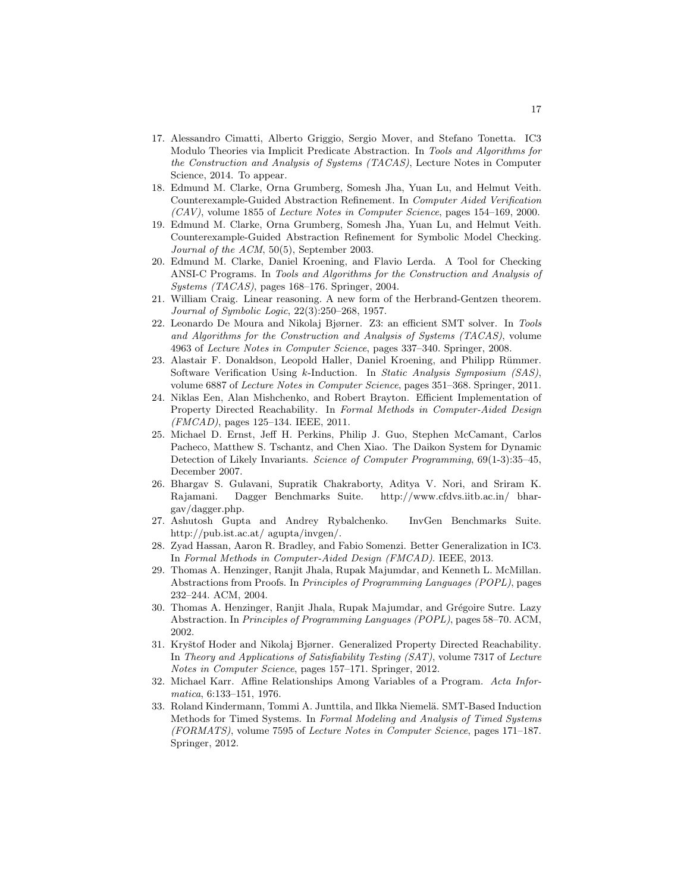- 17. Alessandro Cimatti, Alberto Griggio, Sergio Mover, and Stefano Tonetta. IC3 Modulo Theories via Implicit Predicate Abstraction. In Tools and Algorithms for the Construction and Analysis of Systems (TACAS), Lecture Notes in Computer Science, 2014. To appear.
- 18. Edmund M. Clarke, Orna Grumberg, Somesh Jha, Yuan Lu, and Helmut Veith. Counterexample-Guided Abstraction Refinement. In Computer Aided Verification  $(CAV)$ , volume 1855 of Lecture Notes in Computer Science, pages 154–169, 2000.
- 19. Edmund M. Clarke, Orna Grumberg, Somesh Jha, Yuan Lu, and Helmut Veith. Counterexample-Guided Abstraction Refinement for Symbolic Model Checking. Journal of the ACM, 50(5), September 2003.
- 20. Edmund M. Clarke, Daniel Kroening, and Flavio Lerda. A Tool for Checking ANSI-C Programs. In Tools and Algorithms for the Construction and Analysis of Systems (TACAS), pages 168–176. Springer, 2004.
- 21. William Craig. Linear reasoning. A new form of the Herbrand-Gentzen theorem. Journal of Symbolic Logic, 22(3):250–268, 1957.
- 22. Leonardo De Moura and Nikolaj Bjørner. Z3: an efficient SMT solver. In Tools and Algorithms for the Construction and Analysis of Systems (TACAS), volume 4963 of Lecture Notes in Computer Science, pages 337–340. Springer, 2008.
- 23. Alastair F. Donaldson, Leopold Haller, Daniel Kroening, and Philipp Rümmer. Software Verification Using k-Induction. In Static Analysis Symposium (SAS), volume 6887 of Lecture Notes in Computer Science, pages 351–368. Springer, 2011.
- 24. Niklas Een, Alan Mishchenko, and Robert Brayton. Efficient Implementation of Property Directed Reachability. In Formal Methods in Computer-Aided Design  $(FMCAD)$ , pages 125–134. IEEE, 2011.
- 25. Michael D. Ernst, Jeff H. Perkins, Philip J. Guo, Stephen McCamant, Carlos Pacheco, Matthew S. Tschantz, and Chen Xiao. The Daikon System for Dynamic Detection of Likely Invariants. Science of Computer Programming, 69(1-3):35–45, December 2007.
- 26. Bhargav S. Gulavani, Supratik Chakraborty, Aditya V. Nori, and Sriram K. Rajamani. Dagger Benchmarks Suite. http://www.cfdvs.iitb.ac.in/ bhargav/dagger.php.
- 27. Ashutosh Gupta and Andrey Rybalchenko. InvGen Benchmarks Suite. http://pub.ist.ac.at/ agupta/invgen/.
- 28. Zyad Hassan, Aaron R. Bradley, and Fabio Somenzi. Better Generalization in IC3. In Formal Methods in Computer-Aided Design (FMCAD). IEEE, 2013.
- 29. Thomas A. Henzinger, Ranjit Jhala, Rupak Majumdar, and Kenneth L. McMillan. Abstractions from Proofs. In Principles of Programming Languages (POPL), pages 232–244. ACM, 2004.
- 30. Thomas A. Henzinger, Ranjit Jhala, Rupak Majumdar, and Grégoire Sutre. Lazy Abstraction. In Principles of Programming Languages (POPL), pages 58–70. ACM, 2002.
- 31. Kryštof Hoder and Nikolaj Bjørner. Generalized Property Directed Reachability. In Theory and Applications of Satisfiability Testing (SAT), volume 7317 of Lecture Notes in Computer Science, pages 157–171. Springer, 2012.
- 32. Michael Karr. Affine Relationships Among Variables of a Program. Acta Informatica, 6:133–151, 1976.
- 33. Roland Kindermann, Tommi A. Junttila, and Ilkka Niemelä. SMT-Based Induction Methods for Timed Systems. In Formal Modeling and Analysis of Timed Systems (FORMATS), volume 7595 of Lecture Notes in Computer Science, pages 171–187. Springer, 2012.